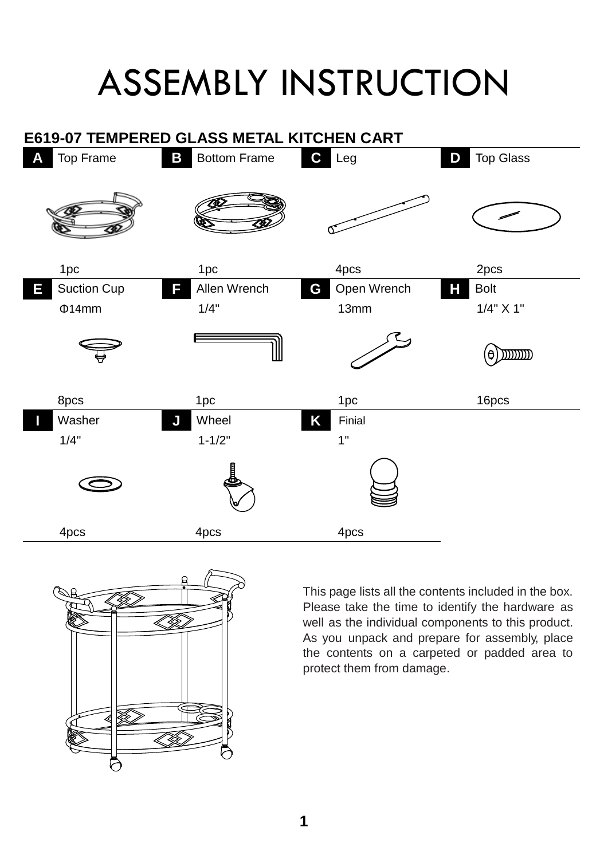## ASSEMBLY INSTRUCTION





This page lists all the contents included in the box. Please take the time to identify the hardware as well as the individual components to this product. As you unpack and prepare for assembly, place the contents on a carpeted or padded area to protect them from damage.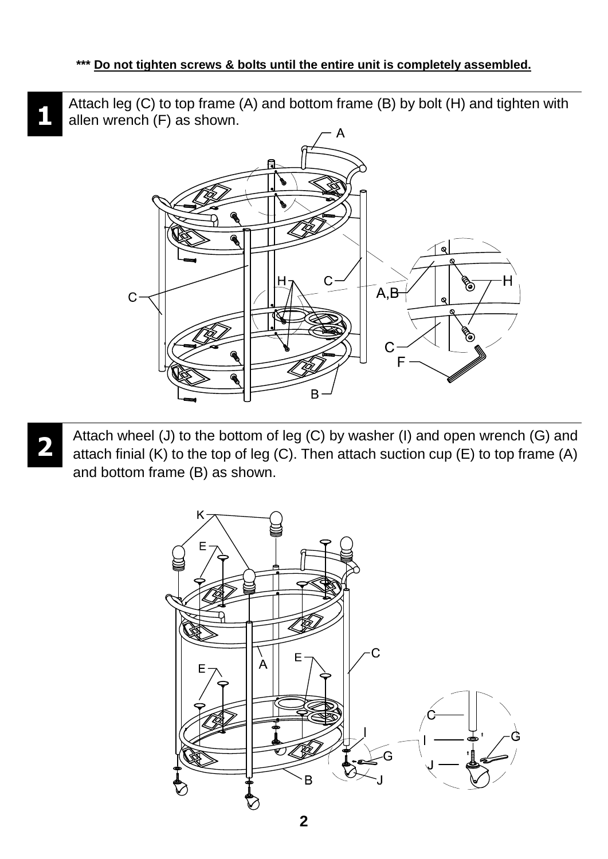Attach leg (C) to top frame (A) and bottom frame (B) by bolt (H) and tighten with allen wrench (F) as shown.



Attach wheel (J) to the bottom of leg (C) by washer (I) and open wrench (G) and attach finial (K) to the top of leg (C). Then attach suction cup (E) to top frame (A) and bottom frame (B) as shown.



**1**

**2**